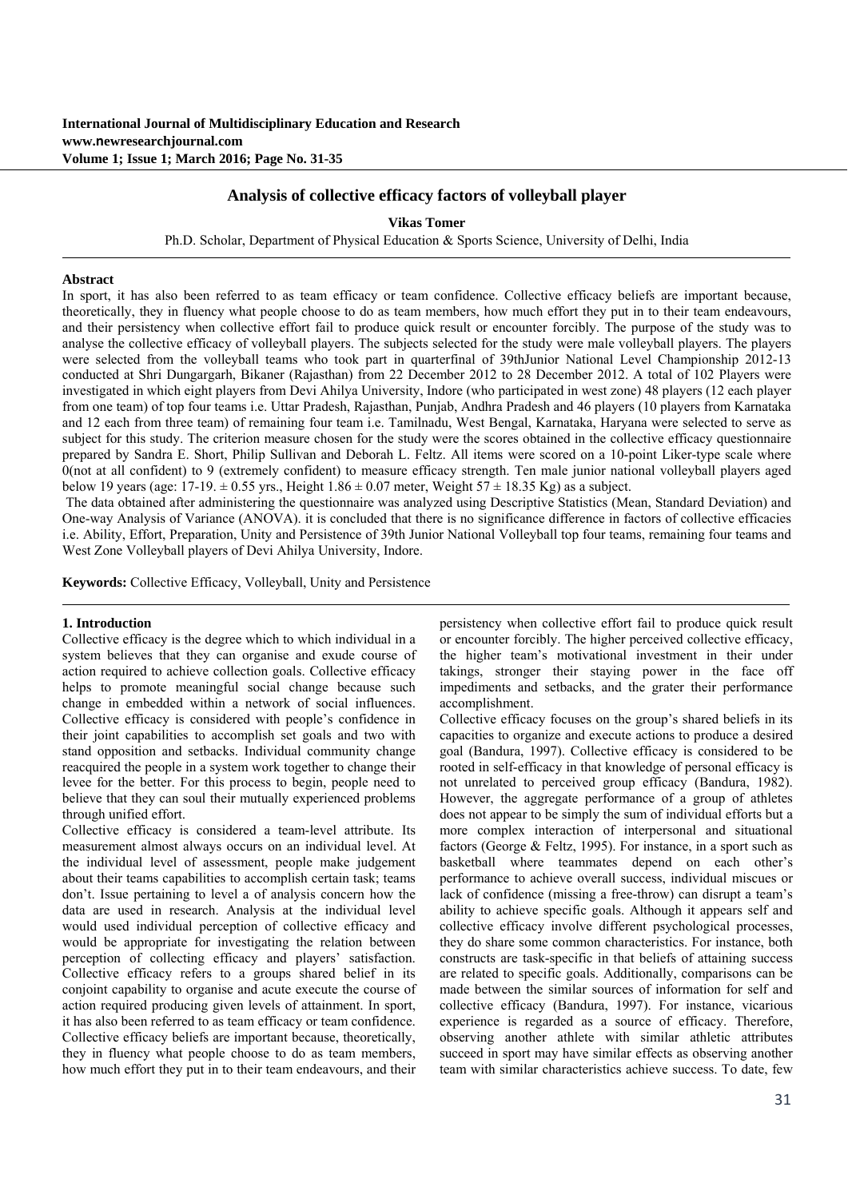# **Analysis of collective efficacy factors of volleyball player**

**Vikas Tomer**

Ph.D. Scholar, Department of Physical Education & Sports Science, University of Delhi, India

#### **Abstract**

In sport, it has also been referred to as team efficacy or team confidence. Collective efficacy beliefs are important because, theoretically, they in fluency what people choose to do as team members, how much effort they put in to their team endeavours, and their persistency when collective effort fail to produce quick result or encounter forcibly. The purpose of the study was to analyse the collective efficacy of volleyball players. The subjects selected for the study were male volleyball players. The players were selected from the volleyball teams who took part in quarterfinal of 39thJunior National Level Championship 2012-13 conducted at Shri Dungargarh, Bikaner (Rajasthan) from 22 December 2012 to 28 December 2012. A total of 102 Players were investigated in which eight players from Devi Ahilya University, Indore (who participated in west zone) 48 players (12 each player from one team) of top four teams i.e. Uttar Pradesh, Rajasthan, Punjab, Andhra Pradesh and 46 players (10 players from Karnataka and 12 each from three team) of remaining four team i.e. Tamilnadu, West Bengal, Karnataka, Haryana were selected to serve as subject for this study. The criterion measure chosen for the study were the scores obtained in the collective efficacy questionnaire prepared by Sandra E. Short, Philip Sullivan and Deborah L. Feltz. All items were scored on a 10-point Liker-type scale where 0(not at all confident) to 9 (extremely confident) to measure efficacy strength. Ten male junior national volleyball players aged below 19 years (age: 17-19.  $\pm$  0.55 yrs., Height 1.86  $\pm$  0.07 meter, Weight 57  $\pm$  18.35 Kg) as a subject.

 The data obtained after administering the questionnaire was analyzed using Descriptive Statistics (Mean, Standard Deviation) and One-way Analysis of Variance (ANOVA). it is concluded that there is no significance difference in factors of collective efficacies i.e. Ability, Effort, Preparation, Unity and Persistence of 39th Junior National Volleyball top four teams, remaining four teams and West Zone Volleyball players of Devi Ahilya University, Indore.

**Keywords:** Collective Efficacy, Volleyball, Unity and Persistence

### **1. Introduction**

Collective efficacy is the degree which to which individual in a system believes that they can organise and exude course of action required to achieve collection goals. Collective efficacy helps to promote meaningful social change because such change in embedded within a network of social influences. Collective efficacy is considered with people's confidence in their joint capabilities to accomplish set goals and two with stand opposition and setbacks. Individual community change reacquired the people in a system work together to change their levee for the better. For this process to begin, people need to believe that they can soul their mutually experienced problems through unified effort.

Collective efficacy is considered a team-level attribute. Its measurement almost always occurs on an individual level. At the individual level of assessment, people make judgement about their teams capabilities to accomplish certain task; teams don't. Issue pertaining to level a of analysis concern how the data are used in research. Analysis at the individual level would used individual perception of collective efficacy and would be appropriate for investigating the relation between perception of collecting efficacy and players' satisfaction. Collective efficacy refers to a groups shared belief in its conjoint capability to organise and acute execute the course of action required producing given levels of attainment. In sport, it has also been referred to as team efficacy or team confidence. Collective efficacy beliefs are important because, theoretically, they in fluency what people choose to do as team members, how much effort they put in to their team endeavours, and their persistency when collective effort fail to produce quick result or encounter forcibly. The higher perceived collective efficacy, the higher team's motivational investment in their under takings, stronger their staying power in the face off impediments and setbacks, and the grater their performance accomplishment.

Collective efficacy focuses on the group's shared beliefs in its capacities to organize and execute actions to produce a desired goal (Bandura, 1997). Collective efficacy is considered to be rooted in self-efficacy in that knowledge of personal efficacy is not unrelated to perceived group efficacy (Bandura, 1982). However, the aggregate performance of a group of athletes does not appear to be simply the sum of individual efforts but a more complex interaction of interpersonal and situational factors (George & Feltz, 1995). For instance, in a sport such as basketball where teammates depend on each other's performance to achieve overall success, individual miscues or lack of confidence (missing a free-throw) can disrupt a team's ability to achieve specific goals. Although it appears self and collective efficacy involve different psychological processes, they do share some common characteristics. For instance, both constructs are task-specific in that beliefs of attaining success are related to specific goals. Additionally, comparisons can be made between the similar sources of information for self and collective efficacy (Bandura, 1997). For instance, vicarious experience is regarded as a source of efficacy. Therefore, observing another athlete with similar athletic attributes succeed in sport may have similar effects as observing another team with similar characteristics achieve success. To date, few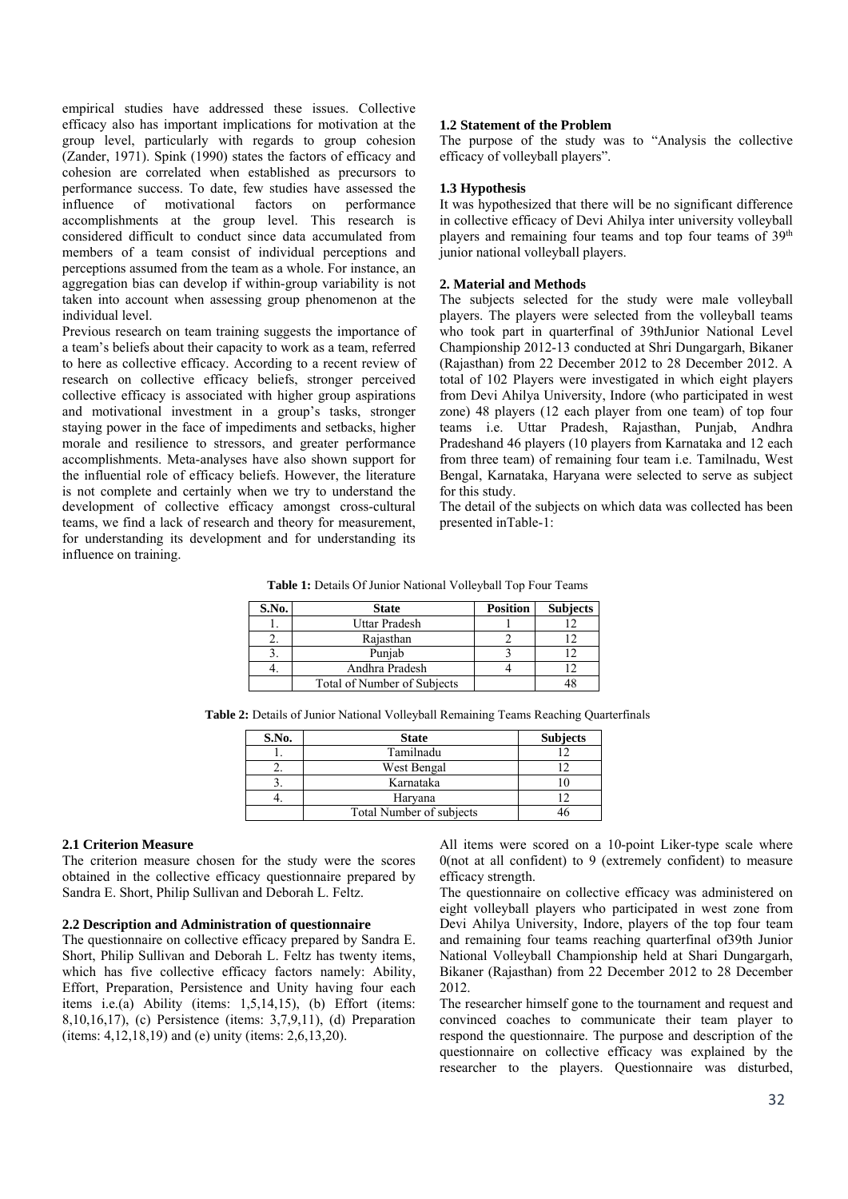empirical studies have addressed these issues. Collective efficacy also has important implications for motivation at the group level, particularly with regards to group cohesion (Zander, 1971). Spink (1990) states the factors of efficacy and cohesion are correlated when established as precursors to performance success. To date, few studies have assessed the influence of motivational factors on performance accomplishments at the group level. This research is considered difficult to conduct since data accumulated from members of a team consist of individual perceptions and perceptions assumed from the team as a whole. For instance, an aggregation bias can develop if within-group variability is not taken into account when assessing group phenomenon at the individual level.

Previous research on team training suggests the importance of a team's beliefs about their capacity to work as a team, referred to here as collective efficacy. According to a recent review of research on collective efficacy beliefs, stronger perceived collective efficacy is associated with higher group aspirations and motivational investment in a group's tasks, stronger staying power in the face of impediments and setbacks, higher morale and resilience to stressors, and greater performance accomplishments. Meta-analyses have also shown support for the influential role of efficacy beliefs. However, the literature is not complete and certainly when we try to understand the development of collective efficacy amongst cross-cultural teams, we find a lack of research and theory for measurement, for understanding its development and for understanding its influence on training.

### **1.2 Statement of the Problem**

The purpose of the study was to "Analysis the collective efficacy of volleyball players".

### **1.3 Hypothesis**

It was hypothesized that there will be no significant difference in collective efficacy of Devi Ahilya inter university volleyball players and remaining four teams and top four teams of 39<sup>th</sup> junior national volleyball players.

## **2. Material and Methods**

The subjects selected for the study were male volleyball players. The players were selected from the volleyball teams who took part in quarterfinal of 39thJunior National Level Championship 2012-13 conducted at Shri Dungargarh, Bikaner (Rajasthan) from 22 December 2012 to 28 December 2012. A total of 102 Players were investigated in which eight players from Devi Ahilya University, Indore (who participated in west zone) 48 players (12 each player from one team) of top four teams i.e. Uttar Pradesh, Rajasthan, Punjab, Andhra Pradeshand 46 players (10 players from Karnataka and 12 each from three team) of remaining four team i.e. Tamilnadu, West Bengal, Karnataka, Haryana were selected to serve as subject for this study.

The detail of the subjects on which data was collected has been presented inTable-1:

**Table 1:** Details Of Junior National Volleyball Top Four Teams

| S.No. | <b>State</b>                | <b>Position</b> | <b>Subjects</b> |
|-------|-----------------------------|-----------------|-----------------|
|       | Uttar Pradesh               |                 |                 |
|       | Rajasthan                   |                 |                 |
|       | Puniab                      |                 |                 |
|       | Andhra Pradesh              |                 |                 |
|       | Total of Number of Subjects |                 |                 |

**Table 2:** Details of Junior National Volleyball Remaining Teams Reaching Quarterfinals

| S.No. | <b>State</b>             | <b>Subjects</b> |
|-------|--------------------------|-----------------|
|       | Tamilnadu                |                 |
|       | West Bengal              |                 |
|       | Karnataka                |                 |
|       | Haryana                  |                 |
|       | Total Number of subjects |                 |

#### **2.1 Criterion Measure**

The criterion measure chosen for the study were the scores obtained in the collective efficacy questionnaire prepared by Sandra E. Short, Philip Sullivan and Deborah L. Feltz.

#### **2.2 Description and Administration of questionnaire**

The questionnaire on collective efficacy prepared by Sandra E. Short, Philip Sullivan and Deborah L. Feltz has twenty items, which has five collective efficacy factors namely: Ability, Effort, Preparation, Persistence and Unity having four each items i.e.(a) Ability (items: 1,5,14,15), (b) Effort (items: 8,10,16,17), (c) Persistence (items: 3,7,9,11), (d) Preparation (items:  $4,12,18,19$ ) and (e) unity (items:  $2,6,13,20$ ).

All items were scored on a 10-point Liker-type scale where 0(not at all confident) to 9 (extremely confident) to measure efficacy strength.

The questionnaire on collective efficacy was administered on eight volleyball players who participated in west zone from Devi Ahilya University, Indore, players of the top four team and remaining four teams reaching quarterfinal of39th Junior National Volleyball Championship held at Shari Dungargarh, Bikaner (Rajasthan) from 22 December 2012 to 28 December 2012.

The researcher himself gone to the tournament and request and convinced coaches to communicate their team player to respond the questionnaire. The purpose and description of the questionnaire on collective efficacy was explained by the researcher to the players. Questionnaire was disturbed,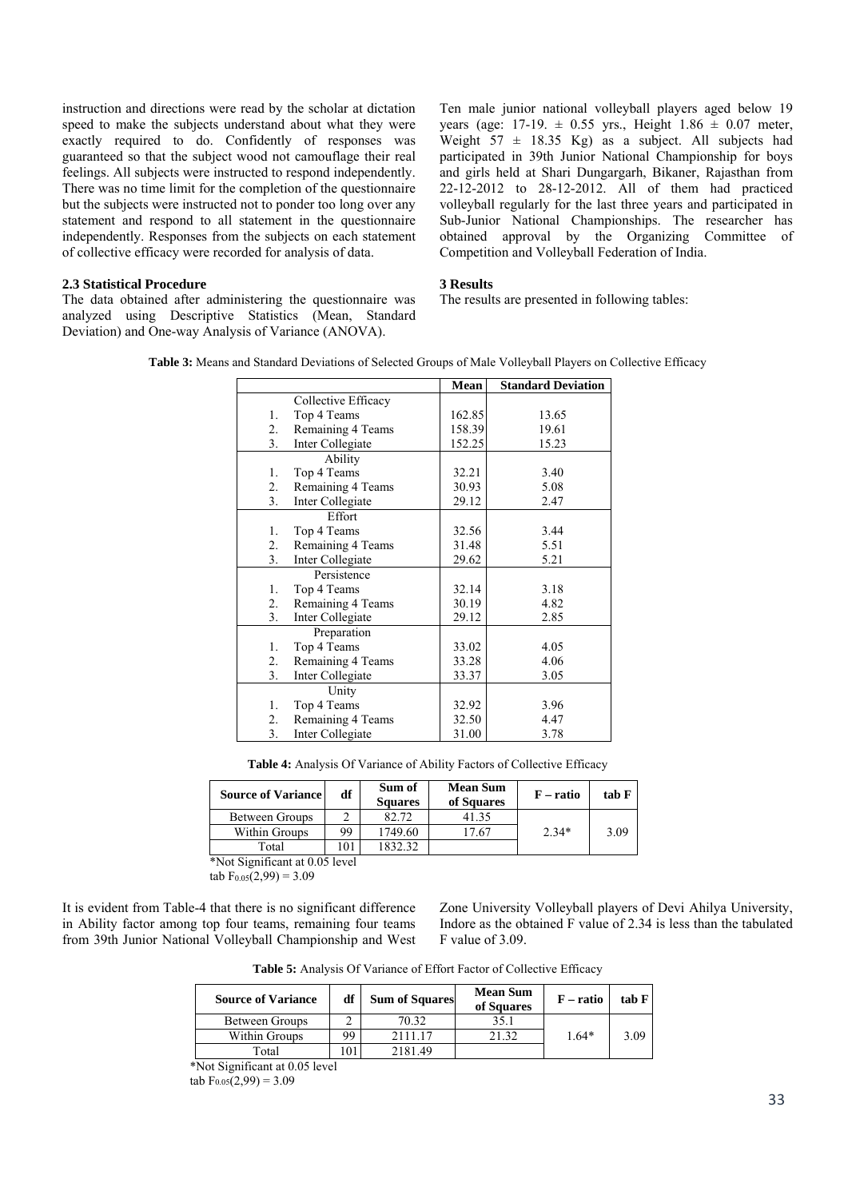instruction and directions were read by the scholar at dictation speed to make the subjects understand about what they were exactly required to do. Confidently of responses was guaranteed so that the subject wood not camouflage their real feelings. All subjects were instructed to respond independently. There was no time limit for the completion of the questionnaire but the subjects were instructed not to ponder too long over any statement and respond to all statement in the questionnaire independently. Responses from the subjects on each statement of collective efficacy were recorded for analysis of data.

### **2.3 Statistical Procedure**

The data obtained after administering the questionnaire was analyzed using Descriptive Statistics (Mean, Standard Deviation) and One-way Analysis of Variance (ANOVA).

Ten male junior national volleyball players aged below 19 years (age:  $17-19. \pm 0.55$  yrs., Height  $1.86 \pm 0.07$  meter, Weight  $57 \pm 18.35$  Kg) as a subject. All subjects had participated in 39th Junior National Championship for boys and girls held at Shari Dungargarh, Bikaner, Rajasthan from 22-12-2012 to 28-12-2012. All of them had practiced volleyball regularly for the last three years and participated in Sub-Junior National Championships. The researcher has obtained approval by the Organizing Committee of Competition and Volleyball Federation of India.

#### **3 Results**

The results are presented in following tables:

|    |                     | <b>Mean</b> | <b>Standard Deviation</b> |
|----|---------------------|-------------|---------------------------|
|    | Collective Efficacy |             |                           |
| 1. | Top 4 Teams         | 162.85      | 13.65                     |
| 2. | Remaining 4 Teams   | 158.39      | 19.61                     |
| 3. | Inter Collegiate    | 152.25      | 15.23                     |
|    | Ability             |             |                           |
| 1. | Top 4 Teams         | 32.21       | 3.40                      |
| 2. | Remaining 4 Teams   | 30.93       | 5.08                      |
| 3. | Inter Collegiate    | 29.12       | 2.47                      |
|    | Effort              |             |                           |
| 1. | Top 4 Teams         | 32.56       | 3.44                      |
| 2. | Remaining 4 Teams   | 31.48       | 5.51                      |
| 3. | Inter Collegiate    | 29.62       | 5.21                      |
|    | Persistence         |             |                           |
| 1. | Top 4 Teams         | 32.14       | 3.18                      |
| 2. | Remaining 4 Teams   | 30.19       | 4.82                      |
| 3. | Inter Collegiate    | 29.12       | 2.85                      |
|    | Preparation         |             |                           |
| 1. | Top 4 Teams         | 33.02       | 4.05                      |
| 2. | Remaining 4 Teams   | 33.28       | 4.06                      |
| 3. | Inter Collegiate    | 33.37       | 3.05                      |
|    | Unity               |             |                           |
| 1. | Top 4 Teams         | 32.92       | 3.96                      |
| 2. | Remaining 4 Teams   | 32.50       | 4.47                      |
| 3. | Inter Collegiate    | 31.00       | 3.78                      |

**Table 3:** Means and Standard Deviations of Selected Groups of Male Volleyball Players on Collective Efficacy

**Table 4:** Analysis Of Variance of Ability Factors of Collective Efficacy

| <b>Source of Variance</b> | df  | Sum of<br><b>Squares</b> | <b>Mean Sum</b><br>of Squares | $F - ratio$ | tab F |
|---------------------------|-----|--------------------------|-------------------------------|-------------|-------|
| Between Groups            |     | 82.72                    | 41.35                         |             |       |
| Within Groups             | 99  | 1749.60                  | 17.67                         | $2.34*$     | 3.09  |
| Total                     | 101 | 832.32                   |                               |             |       |

\*Not Significant at 0.05 level

tab  $F_{0.05}(2,99) = 3.09$ 

It is evident from Table-4 that there is no significant difference in Ability factor among top four teams, remaining four teams from 39th Junior National Volleyball Championship and West Zone University Volleyball players of Devi Ahilya University, Indore as the obtained F value of 2.34 is less than the tabulated F value of 3.09.

**Table 5:** Analysis Of Variance of Effort Factor of Collective Efficacy

| <b>Source of Variance</b> | df | <b>Sum of Squares</b> | <b>Mean Sum</b><br>of Squares | $F$ – ratio | tab F |
|---------------------------|----|-----------------------|-------------------------------|-------------|-------|
| Between Groups            |    | 70.32                 | 35.1                          |             |       |
| Within Groups             | 99 | 2111.17               | 21.32                         | $1.64*$     | 3.09  |
| Total                     |    | 2181.49               |                               |             |       |

\*Not Significant at 0.05 level

tab  $F_{0.05}(2,99) = 3.09$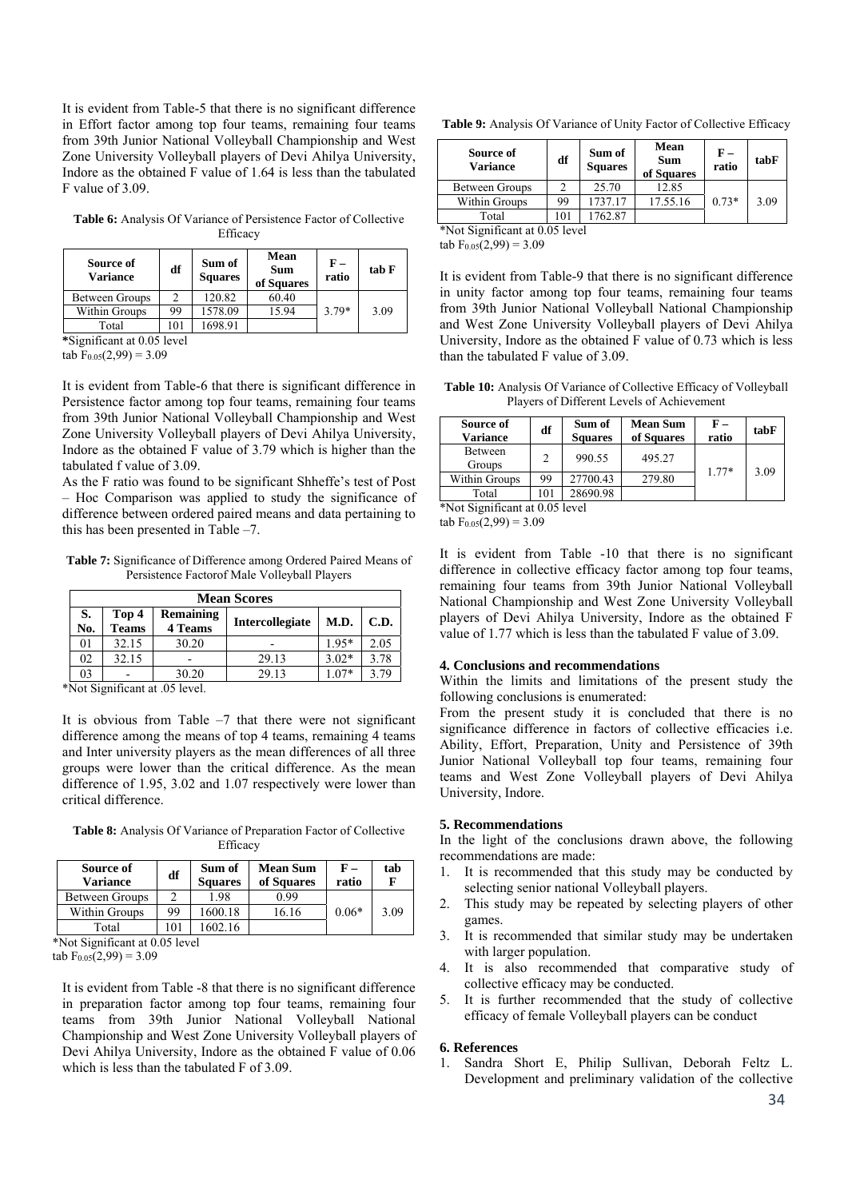It is evident from Table-5 that there is no significant difference in Effort factor among top four teams, remaining four teams from 39th Junior National Volleyball Championship and West Zone University Volleyball players of Devi Ahilya University, Indore as the obtained F value of 1.64 is less than the tabulated F value of 3.09.

**Table 6:** Analysis Of Variance of Persistence Factor of Collective Efficacy

| Source of<br><b>Variance</b> | df  | Sum of<br><b>Squares</b> | Mean<br><b>Sum</b><br>of Squares | F –<br>ratio | tab F |
|------------------------------|-----|--------------------------|----------------------------------|--------------|-------|
| Between Groups               |     | 120.82                   | 60.40                            |              |       |
| Within Groups                | 99  | 1578.09                  | 15.94                            | $3.79*$      | 3.09  |
| Total                        | 101 | 1698.91                  |                                  |              |       |

**\***Significant at 0.05 level

tab  $F_{0.05}(2,99) = 3.09$ 

It is evident from Table-6 that there is significant difference in Persistence factor among top four teams, remaining four teams from 39th Junior National Volleyball Championship and West Zone University Volleyball players of Devi Ahilya University, Indore as the obtained F value of 3.79 which is higher than the tabulated f value of 3.09.

As the F ratio was found to be significant Shheffe's test of Post – Hoc Comparison was applied to study the significance of difference between ordered paired means and data pertaining to this has been presented in Table –7.

**Table 7:** Significance of Difference among Ordered Paired Means of Persistence Factorof Male Volleyball Players

|           | <b>Mean Scores</b>    |                             |                 |         |      |  |  |  |  |  |
|-----------|-----------------------|-----------------------------|-----------------|---------|------|--|--|--|--|--|
| S.<br>No. | Top 4<br><b>Teams</b> | Remaining<br><b>4 Teams</b> | Intercollegiate | M.D.    | C.D. |  |  |  |  |  |
| 01        | 32.15                 | 30.20                       |                 | $1.95*$ | 2.05 |  |  |  |  |  |
| 02        | 32.15                 |                             | 29.13           | $3.02*$ | 3.78 |  |  |  |  |  |
| 03        |                       | 30.20                       | 29.13           | $07*$   | 3.79 |  |  |  |  |  |

\*Not Significant at .05 level.

It is obvious from Table  $-7$  that there were not significant difference among the means of top 4 teams, remaining 4 teams and Inter university players as the mean differences of all three groups were lower than the critical difference. As the mean difference of 1.95, 3.02 and 1.07 respectively were lower than critical difference.

**Table 8:** Analysis Of Variance of Preparation Factor of Collective Efficacy

| Source of<br><b>Variance</b> | df       | Sum of<br><b>Squares</b> | <b>Mean Sum</b><br>of Squares | ${\bf F}$ –<br>ratio | tab<br>F |
|------------------------------|----------|--------------------------|-------------------------------|----------------------|----------|
| Between Groups               |          | 1.98                     | 0.99                          |                      |          |
| Within Groups                | 99       | 1600.18                  | 16.16                         | $0.06*$              | 3.09     |
| Total                        | $\Omega$ | 602.16                   |                               |                      |          |

\*Not Significant at 0.05 level

tab  $F_{0.05}(2,99) = 3.09$ 

It is evident from Table -8 that there is no significant difference in preparation factor among top four teams, remaining four teams from 39th Junior National Volleyball National Championship and West Zone University Volleyball players of Devi Ahilya University, Indore as the obtained F value of 0.06 which is less than the tabulated F of 3.09.

**Table 9:** Analysis Of Variance of Unity Factor of Collective Efficacy

| Source of<br><b>Variance</b> | df  | Sum of<br><b>Squares</b> | Mean<br><b>Sum</b><br>of Squares | F –<br>ratio | tabF |
|------------------------------|-----|--------------------------|----------------------------------|--------------|------|
| Between Groups               |     | 25.70                    | 12.85                            |              |      |
| Within Groups                | 99  | 1737.17                  | 17.55.16                         | $0.73*$      | 3.09 |
| Total                        | 101 | 62.87                    |                                  |              |      |

\*Not Significant at 0.05 level

 $tab F<sub>0.05</sub>(2.99) = 3.09$ 

It is evident from Table-9 that there is no significant difference in unity factor among top four teams, remaining four teams from 39th Junior National Volleyball National Championship and West Zone University Volleyball players of Devi Ahilya University, Indore as the obtained F value of 0.73 which is less than the tabulated F value of 3.09.

**Table 10:** Analysis Of Variance of Collective Efficacy of Volleyball Players of Different Levels of Achievement

| Source of<br><b>Variance</b> | df                                      | Sum of<br><b>Squares</b> | <b>Mean Sum</b><br>of Squares | ${\bf F}-$<br>ratio | tabF |  |  |
|------------------------------|-----------------------------------------|--------------------------|-------------------------------|---------------------|------|--|--|
| Between<br>Groups            | C                                       | 990.55                   | 495.27                        | $1.77*$             |      |  |  |
| Within Groups                | 99                                      | 27700.43                 | 279.80                        |                     | 3.09 |  |  |
| Total                        | 101                                     | 28690.98                 |                               |                     |      |  |  |
|                              | $*N_{\alpha}$ Cignificant at 0.05 lavel |                          |                               |                     |      |  |  |

Not Significant at 0.05 level

tab  $F_{0.05}(2,99) = 3.09$ 

It is evident from Table -10 that there is no significant difference in collective efficacy factor among top four teams, remaining four teams from 39th Junior National Volleyball National Championship and West Zone University Volleyball players of Devi Ahilya University, Indore as the obtained F value of 1.77 which is less than the tabulated F value of 3.09.

# **4. Conclusions and recommendations**

Within the limits and limitations of the present study the following conclusions is enumerated:

From the present study it is concluded that there is no significance difference in factors of collective efficacies i.e. Ability, Effort, Preparation, Unity and Persistence of 39th Junior National Volleyball top four teams, remaining four teams and West Zone Volleyball players of Devi Ahilya University, Indore.

## **5. Recommendations**

In the light of the conclusions drawn above, the following recommendations are made:

- 1. It is recommended that this study may be conducted by selecting senior national Volleyball players.
- 2. This study may be repeated by selecting players of other games.
- 3. It is recommended that similar study may be undertaken with larger population.
- 4. It is also recommended that comparative study of collective efficacy may be conducted.
- 5. It is further recommended that the study of collective efficacy of female Volleyball players can be conduct

## **6. References**

1. Sandra Short E, Philip Sullivan, Deborah Feltz L. Development and preliminary validation of the collective